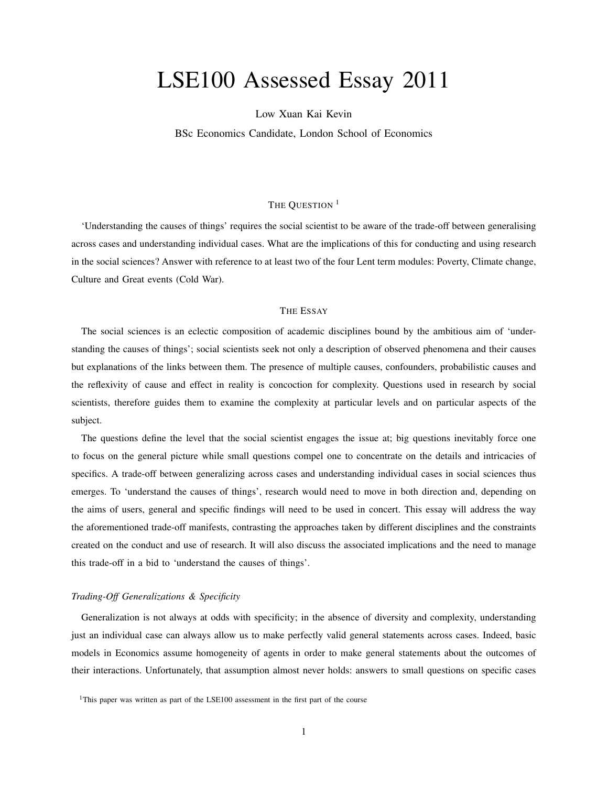# LSE100 Assessed Essay 2011

Low Xuan Kai Kevin

BSc Economics Candidate, London School of Economics

## THE OUESTION<sup>1</sup>

'Understanding the causes of things' requires the social scientist to be aware of the trade-off between generalising across cases and understanding individual cases. What are the implications of this for conducting and using research in the social sciences? Answer with reference to at least two of the four Lent term modules: Poverty, Climate change, Culture and Great events (Cold War).

### THE ESSAY

The social sciences is an eclectic composition of academic disciplines bound by the ambitious aim of 'understanding the causes of things'; social scientists seek not only a description of observed phenomena and their causes but explanations of the links between them. The presence of multiple causes, confounders, probabilistic causes and the reflexivity of cause and effect in reality is concoction for complexity. Questions used in research by social scientists, therefore guides them to examine the complexity at particular levels and on particular aspects of the subject.

The questions define the level that the social scientist engages the issue at; big questions inevitably force one to focus on the general picture while small questions compel one to concentrate on the details and intricacies of specifics. A trade-off between generalizing across cases and understanding individual cases in social sciences thus emerges. To 'understand the causes of things', research would need to move in both direction and, depending on the aims of users, general and specific findings will need to be used in concert. This essay will address the way the aforementioned trade-off manifests, contrasting the approaches taken by different disciplines and the constraints created on the conduct and use of research. It will also discuss the associated implications and the need to manage this trade-off in a bid to 'understand the causes of things'.

#### *Trading-Off Generalizations & Specificity*

Generalization is not always at odds with specificity; in the absence of diversity and complexity, understanding just an individual case can always allow us to make perfectly valid general statements across cases. Indeed, basic models in Economics assume homogeneity of agents in order to make general statements about the outcomes of their interactions. Unfortunately, that assumption almost never holds: answers to small questions on specific cases

<sup>&</sup>lt;sup>1</sup>This paper was written as part of the LSE100 assessment in the first part of the course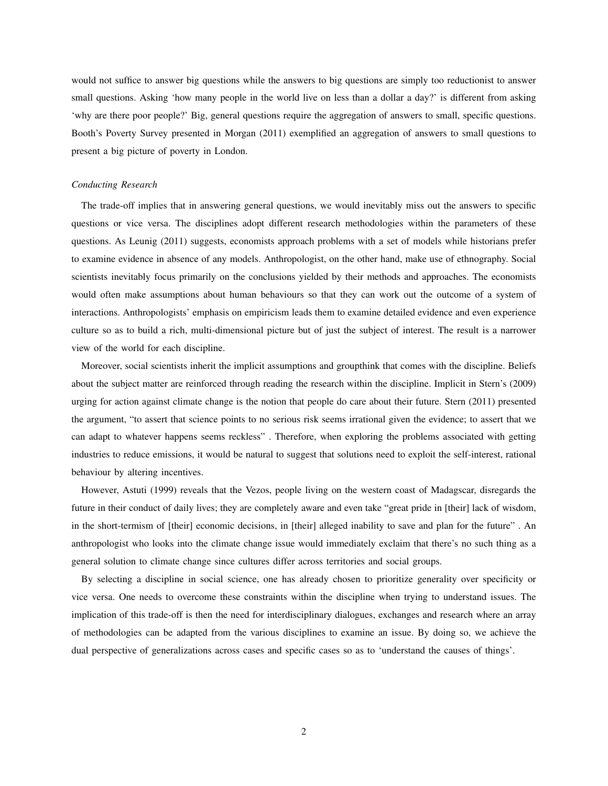would not suffice to answer big questions while the answers to big questions are simply too reductionist to answer small questions. Asking 'how many people in the world live on less than a dollar a day?' is different from asking 'why are there poor people?' Big, general questions require the aggregation of answers to small, specific questions. Booth's Poverty Survey presented in Morgan (2011) exemplified an aggregation of answers to small questions to present a big picture of poverty in London.

#### *Conducting Research*

The trade-off implies that in answering general questions, we would inevitably miss out the answers to specific questions or vice versa. The disciplines adopt different research methodologies within the parameters of these questions. As Leunig (2011) suggests, economists approach problems with a set of models while historians prefer to examine evidence in absence of any models. Anthropologist, on the other hand, make use of ethnography. Social scientists inevitably focus primarily on the conclusions yielded by their methods and approaches. The economists would often make assumptions about human behaviours so that they can work out the outcome of a system of interactions. Anthropologists' emphasis on empiricism leads them to examine detailed evidence and even experience culture so as to build a rich, multi-dimensional picture but of just the subject of interest. The result is a narrower view of the world for each discipline.

Moreover, social scientists inherit the implicit assumptions and groupthink that comes with the discipline. Beliefs about the subject matter are reinforced through reading the research within the discipline. Implicit in Stern's (2009) urging for action against climate change is the notion that people do care about their future. Stern (2011) presented the argument, "to assert that science points to no serious risk seems irrational given the evidence; to assert that we can adapt to whatever happens seems reckless" . Therefore, when exploring the problems associated with getting industries to reduce emissions, it would be natural to suggest that solutions need to exploit the self-interest, rational behaviour by altering incentives.

However, Astuti (1999) reveals that the Vezos, people living on the western coast of Madagscar, disregards the future in their conduct of daily lives; they are completely aware and even take "great pride in [their] lack of wisdom, in the short-termism of [their] economic decisions, in [their] alleged inability to save and plan for the future" . An anthropologist who looks into the climate change issue would immediately exclaim that there's no such thing as a general solution to climate change since cultures differ across territories and social groups.

By selecting a discipline in social science, one has already chosen to prioritize generality over specificity or vice versa. One needs to overcome these constraints within the discipline when trying to understand issues. The implication of this trade-off is then the need for interdisciplinary dialogues, exchanges and research where an array of methodologies can be adapted from the various disciplines to examine an issue. By doing so, we achieve the dual perspective of generalizations across cases and specific cases so as to 'understand the causes of things'.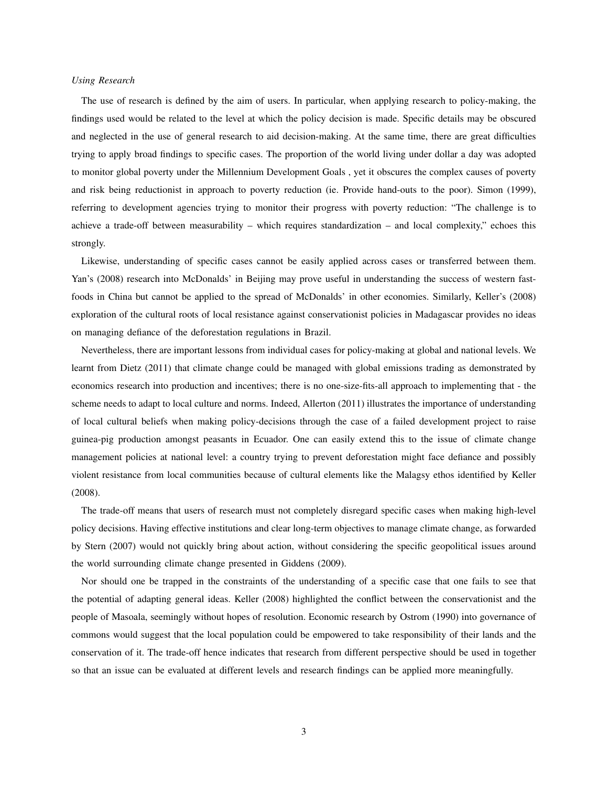#### *Using Research*

The use of research is defined by the aim of users. In particular, when applying research to policy-making, the findings used would be related to the level at which the policy decision is made. Specific details may be obscured and neglected in the use of general research to aid decision-making. At the same time, there are great difficulties trying to apply broad findings to specific cases. The proportion of the world living under dollar a day was adopted to monitor global poverty under the Millennium Development Goals , yet it obscures the complex causes of poverty and risk being reductionist in approach to poverty reduction (ie. Provide hand-outs to the poor). Simon (1999), referring to development agencies trying to monitor their progress with poverty reduction: "The challenge is to achieve a trade-off between measurability – which requires standardization – and local complexity," echoes this strongly.

Likewise, understanding of specific cases cannot be easily applied across cases or transferred between them. Yan's (2008) research into McDonalds' in Beijing may prove useful in understanding the success of western fastfoods in China but cannot be applied to the spread of McDonalds' in other economies. Similarly, Keller's (2008) exploration of the cultural roots of local resistance against conservationist policies in Madagascar provides no ideas on managing defiance of the deforestation regulations in Brazil.

Nevertheless, there are important lessons from individual cases for policy-making at global and national levels. We learnt from Dietz (2011) that climate change could be managed with global emissions trading as demonstrated by economics research into production and incentives; there is no one-size-fits-all approach to implementing that - the scheme needs to adapt to local culture and norms. Indeed, Allerton (2011) illustrates the importance of understanding of local cultural beliefs when making policy-decisions through the case of a failed development project to raise guinea-pig production amongst peasants in Ecuador. One can easily extend this to the issue of climate change management policies at national level: a country trying to prevent deforestation might face defiance and possibly violent resistance from local communities because of cultural elements like the Malagsy ethos identified by Keller (2008).

The trade-off means that users of research must not completely disregard specific cases when making high-level policy decisions. Having effective institutions and clear long-term objectives to manage climate change, as forwarded by Stern (2007) would not quickly bring about action, without considering the specific geopolitical issues around the world surrounding climate change presented in Giddens (2009).

Nor should one be trapped in the constraints of the understanding of a specific case that one fails to see that the potential of adapting general ideas. Keller (2008) highlighted the conflict between the conservationist and the people of Masoala, seemingly without hopes of resolution. Economic research by Ostrom (1990) into governance of commons would suggest that the local population could be empowered to take responsibility of their lands and the conservation of it. The trade-off hence indicates that research from different perspective should be used in together so that an issue can be evaluated at different levels and research findings can be applied more meaningfully.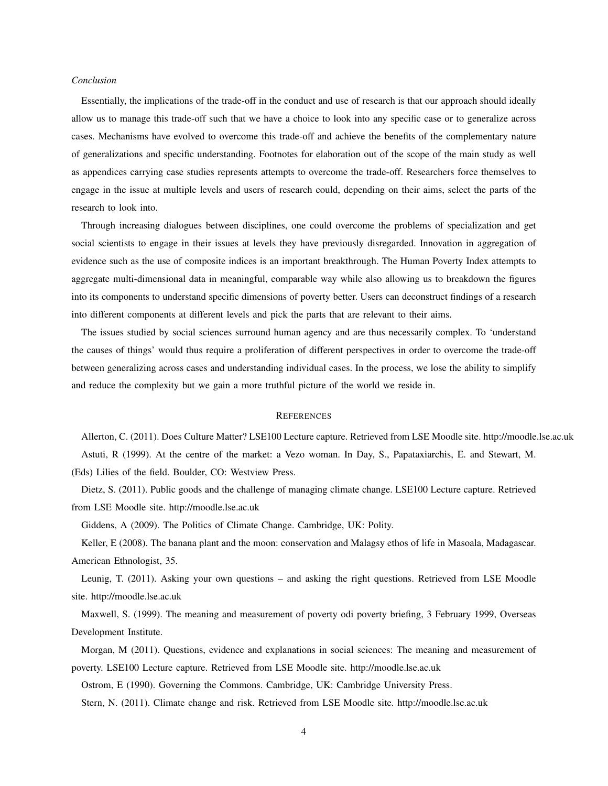#### *Conclusion*

Essentially, the implications of the trade-off in the conduct and use of research is that our approach should ideally allow us to manage this trade-off such that we have a choice to look into any specific case or to generalize across cases. Mechanisms have evolved to overcome this trade-off and achieve the benefits of the complementary nature of generalizations and specific understanding. Footnotes for elaboration out of the scope of the main study as well as appendices carrying case studies represents attempts to overcome the trade-off. Researchers force themselves to engage in the issue at multiple levels and users of research could, depending on their aims, select the parts of the research to look into.

Through increasing dialogues between disciplines, one could overcome the problems of specialization and get social scientists to engage in their issues at levels they have previously disregarded. Innovation in aggregation of evidence such as the use of composite indices is an important breakthrough. The Human Poverty Index attempts to aggregate multi-dimensional data in meaningful, comparable way while also allowing us to breakdown the figures into its components to understand specific dimensions of poverty better. Users can deconstruct findings of a research into different components at different levels and pick the parts that are relevant to their aims.

The issues studied by social sciences surround human agency and are thus necessarily complex. To 'understand the causes of things' would thus require a proliferation of different perspectives in order to overcome the trade-off between generalizing across cases and understanding individual cases. In the process, we lose the ability to simplify and reduce the complexity but we gain a more truthful picture of the world we reside in.

#### **REFERENCES**

Allerton, C. (2011). Does Culture Matter? LSE100 Lecture capture. Retrieved from LSE Moodle site. http://moodle.lse.ac.uk Astuti, R (1999). At the centre of the market: a Vezo woman. In Day, S., Papataxiarchis, E. and Stewart, M. (Eds) Lilies of the field. Boulder, CO: Westview Press.

Dietz, S. (2011). Public goods and the challenge of managing climate change. LSE100 Lecture capture. Retrieved from LSE Moodle site. http://moodle.lse.ac.uk

Giddens, A (2009). The Politics of Climate Change. Cambridge, UK: Polity.

Keller, E (2008). The banana plant and the moon: conservation and Malagsy ethos of life in Masoala, Madagascar. American Ethnologist, 35.

Leunig, T. (2011). Asking your own questions – and asking the right questions. Retrieved from LSE Moodle site. http://moodle.lse.ac.uk

Maxwell, S. (1999). The meaning and measurement of poverty odi poverty briefing, 3 February 1999, Overseas Development Institute.

Morgan, M (2011). Questions, evidence and explanations in social sciences: The meaning and measurement of poverty. LSE100 Lecture capture. Retrieved from LSE Moodle site. http://moodle.lse.ac.uk

Ostrom, E (1990). Governing the Commons. Cambridge, UK: Cambridge University Press.

Stern, N. (2011). Climate change and risk. Retrieved from LSE Moodle site. http://moodle.lse.ac.uk